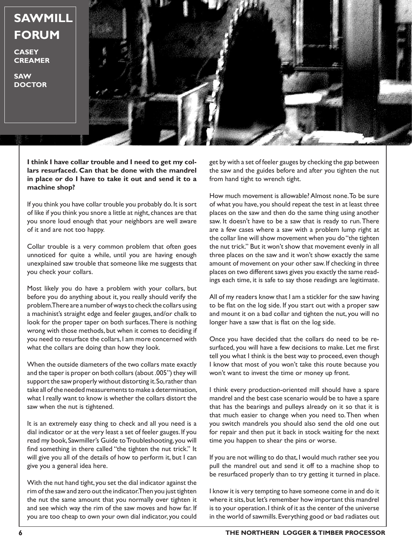**SAWMILL FORUM**

**CASEY CREAMER**

**SAW DOCTOR**



**I think I have collar trouble and I need to get my collars resurfaced. Can that be done with the mandrel in place or do I have to take it out and send it to a machine shop?**

If you think you have collar trouble you probably do. It is sort of like if you think you snore a little at night, chances are that you snore loud enough that your neighbors are well aware of it and are not too happy.

Collar trouble is a very common problem that often goes unnoticed for quite a while, until you are having enough unexplained saw trouble that someone like me suggests that you check your collars.

Most likely you do have a problem with your collars, but before you do anything about it, you really should verify the problem. There are a number of ways to check the collars using a machinist's straight edge and feeler gauges, and/or chalk to look for the proper taper on both surfaces. There is nothing wrong with those methods, but when it comes to deciding if you need to resurface the collars, I am more concerned with what the collars are doing than how they look.

When the outside diameters of the two collars mate exactly and the taper is proper on both collars (about .005") they will support the saw properly without distorting it. So, rather than take all of the needed measurements to make a determination, what I really want to know is whether the collars distort the saw when the nut is tightened.

It is an extremely easy thing to check and all you need is a dial indicator or at the very least a set of feeler gauges. If you read my book, Sawmiller's Guide to Troubleshooting, you will find something in there called "the tighten the nut trick." It will give you all of the details of how to perform it, but I can give you a general idea here.

With the nut hand tight, you set the dial indicator against the rim of the saw and zero out the indicator. Then you just tighten the nut the same amount that you normally over tighten it and see which way the rim of the saw moves and how far. If you are too cheap to own your own dial indicator, you could get by with a set of feeler gauges by checking the gap between the saw and the guides before and after you tighten the nut from hand tight to wrench tight.

How much movement is allowable? Almost none. To be sure of what you have, you should repeat the test in at least three places on the saw and then do the same thing using another saw. It doesn't have to be a saw that is ready to run. There are a few cases where a saw with a problem lump right at the collar line will show movement when you do "the tighten the nut trick." But it won't show that movement evenly in all three places on the saw and it won't show exactly the same amount of movement on your other saw. If checking in three places on two different saws gives you exactly the same readings each time, it is safe to say those readings are legitimate.

All of my readers know that I am a stickler for the saw having to be flat on the log side. If you start out with a proper saw and mount it on a bad collar and tighten the nut, you will no longer have a saw that is flat on the log side.

Once you have decided that the collars do need to be resurfaced, you will have a few decisions to make. Let me first tell you what I think is the best way to proceed, even though I know that most of you won't take this route because you won't want to invest the time or money up front.

I think every production-oriented mill should have a spare mandrel and the best case scenario would be to have a spare that has the bearings and pulleys already on it so that it is that much easier to change when you need to. Then when you switch mandrels you should also send the old one out for repair and then put it back in stock waiting for the next time you happen to shear the pins or worse.

If you are not willing to do that, I would much rather see you pull the mandrel out and send it off to a machine shop to be resurfaced properly than to try getting it turned in place.

I know it is very tempting to have someone come in and do it where it sits, but let's remember how important this mandrel is to your operation. I think of it as the center of the universe in the world of sawmills. Everything good or bad radiates out